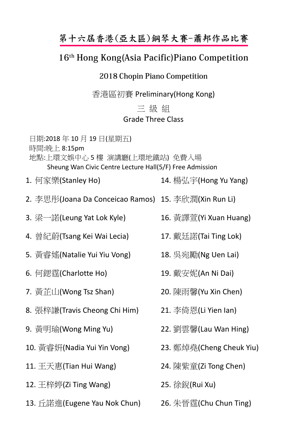## 第十六屆香港(亞太區)鋼琴大賽-蕭邦作品比賽

## 16<sup>th</sup> Hong Kong(Asia Pacific) Piano Competition

## 2018 Chopin Piano Competition

香港區初賽 Preliminary(Hong Kong)

## 三 級 組 Grade Three Class

日期:2018 年 10 月 19 日(星期五) 時間:晩上 8:15pm 地點:上環文娛中心 5 樓 演講廳(上環地鐵站) 免費入場 Sheung Wan Civic Centre Lecture Hall(5/F) Free Admission

1. 何家樂(Stanley Ho)

- 14. 楊弘宇(Hong Yu Yang)
- 2. 李思彤(Joana Da Conceicao Ramos) 15. 李欣潤(Xin Run Li)
- 3. 梁一諾(Leung Yat Lok Kyle)
- 4. 曾紀蔚(Tsang Kei Wai Lecia)
- 5. 黃睿媱(Natalie Yui Yiu Vong)
- 6. 何鍶霆(Charlotte Ho)
- 7. 黃芷山(Wong Tsz Shan)
- 8. 張梓謙(Travis Cheong Chi Him)
- 9. 黃明瑜(Wong Ming Yu)
- 10. 黃睿姸(Nadia Yui Yin Vong)
- 11. 王天惠(Tian Hui Wang)
- 12.  $\pm$ 梓婷(Zi Ting Wang)
- 13. 丘諾進(Eugene Yau Nok Chun) 26. 朱晉霆(Chu Chun Ting)
- 16. 黃譯萱(Yi Xuan Huang)
- 17. 戴廷諾(Tai Ting Lok)
- 18. 吳宛勵(Ng Uen Lai)
- 19. 戴安妮(An Ni Dai)
- 20. 陳雨馨(Yu Xin Chen)
- 21. 李倚恩(Li Yien Ian)
- 22. 劉雲馨(Lau Wan Hing)
- 23. 鄭焯堯(Cheng Cheuk Yiu)
- 24. 陳紫童(Zi Tong Chen)
- 25. 徐銳(Rui Xu)
-